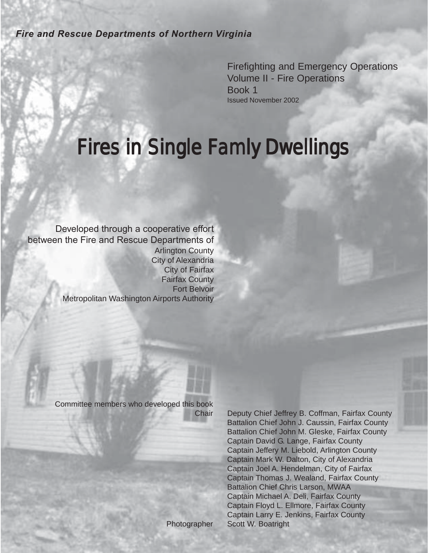*Fire and Rescue Departments of Northern Virginia*

Firefighting and Emergency Operations Volume II - Fire Operations Book 1 Issued November 2002

# Fires in Single Famly Dwellings

Developed through a cooperative effort between the Fire and Rescue Departments of Arlington County City of Alexandria City of Fairfax Fairfax County Fort Belvoir Metropolitan Washington Airports Authority

Committee members who developed this book

Chair Deputy Chief Jeffrey B. Coffman, Fairfax County Battalion Chief John J. Caussin, Fairfax County Battalion Chief John M. Gleske, Fairfax County Captain David G. Lange, Fairfax County Captain Jeffery M. Liebold, Arlington County Captain Mark W. Dalton, City of Alexandria Captain Joel A. Hendelman, City of Fairfax Captain Thomas J. Wealand, Fairfax County Battalion Chief Chris Larson, MWAA Captain Michael A. Deli, Fairfax County Captain Floyd L. Ellmore, Fairfax County Captain Larry E. Jenkins, Fairfax County Photographer Scott W. Boatright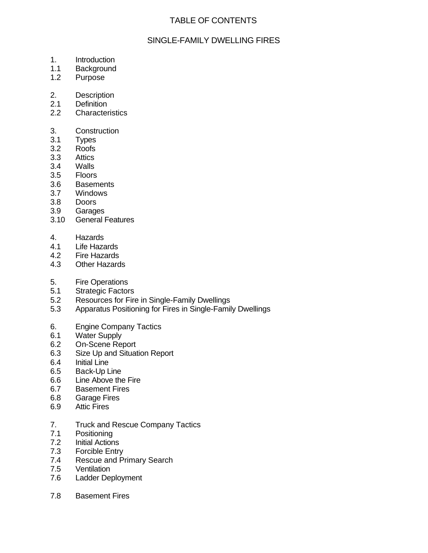# TABLE OF CONTENTS

## SINGLE-FAMILY DWELLING FIRES

- 1. Introduction
- 1.1 Background
- 1.2 Purpose
- 2. Description
- 2.1 Definition
- 2.2 Characteristics
- 3. Construction
- 3.1 Types
- 3.2 Roofs
- 3.3 Attics
- 3.4 Walls
- 3.5 Floors
- 3.6 Basements
- 3.7 Windows
- 3.8 Doors
- 3.9 Garages
- 3.10 General Features
- 4. Hazards
- 4.1 Life Hazards
- 4.2 Fire Hazards
- 4.3 Other Hazards
- 5. Fire Operations
- 5.1 Strategic Factors
- 5.2 Resources for Fire in Single-Family Dwellings
- 5.3 Apparatus Positioning for Fires in Single-Family Dwellings
- 6. Engine Company Tactics
- 6.1 Water Supply
- 6.2 On-Scene Report
- 6.3 Size Up and Situation Report
- 6.4 Initial Line
- 6.5 Back-Up Line
- 6.6 Line Above the Fire
- 6.7 Basement Fires
- 6.8 Garage Fires
- 6.9 Attic Fires
- 7. Truck and Rescue Company Tactics
- 7.1 Positioning<br>7.2 Initial Action
- **Initial Actions**
- 7.3 Forcible Entry
- 7.4 Rescue and Primary Search
- 7.5 Ventilation
- 7.6 Ladder Deployment
- 7.8 Basement Fires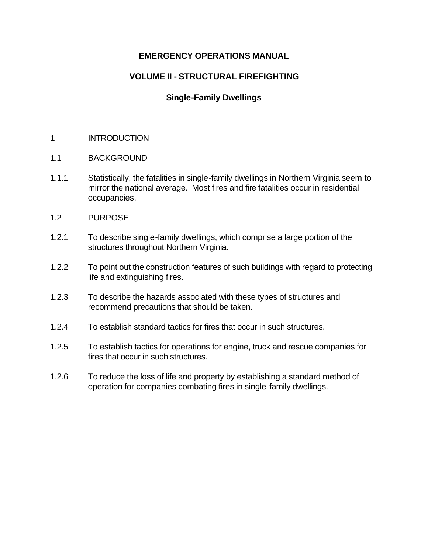## **EMERGENCY OPERATIONS MANUAL**

# **VOLUME II - STRUCTURAL FIREFIGHTING**

## **Single-Family Dwellings**

#### 1 INTRODUCTION

- 1.1 BACKGROUND
- 1.1.1 Statistically, the fatalities in single-family dwellings in Northern Virginia seem to mirror the national average. Most fires and fire fatalities occur in residential occupancies.
- 1.2 PURPOSE
- 1.2.1 To describe single-family dwellings, which comprise a large portion of the structures throughout Northern Virginia.
- 1.2.2 To point out the construction features of such buildings with regard to protecting life and extinguishing fires.
- 1.2.3 To describe the hazards associated with these types of structures and recommend precautions that should be taken.
- 1.2.4 To establish standard tactics for fires that occur in such structures.
- 1.2.5 To establish tactics for operations for engine, truck and rescue companies for fires that occur in such structures.
- 1.2.6 To reduce the loss of life and property by establishing a standard method of operation for companies combating fires in single-family dwellings.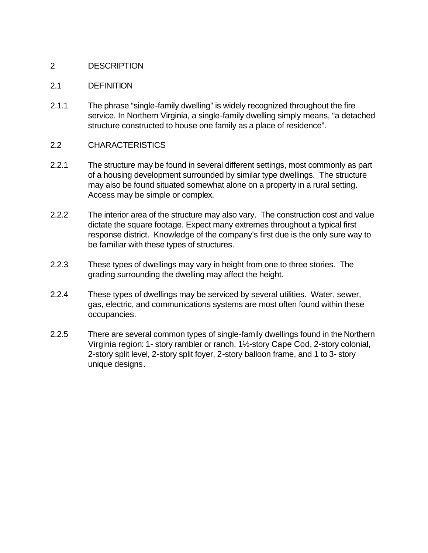#### 2 DESCRIPTION

#### 2.1 DEFINITION

2.1.1 The phrase "single-family dwelling" is widely recognized throughout the fire service. In Northern Virginia, a single-family dwelling simply means, "a detached structure constructed to house one family as a place of residence".

## 2.2 CHARACTERISTICS

- 2.2.1 The structure may be found in several different settings, most commonly as part of a housing development surrounded by similar type dwellings. The structure may also be found situated somewhat alone on a property in a rural setting. Access may be simple or complex.
- 2.2.2 The interior area of the structure may also vary. The construction cost and value dictate the square footage. Expect many extremes throughout a typical first response district. Knowledge of the company's first due is the only sure way to be familiar with these types of structures.
- 2.2.3 These types of dwellings may vary in height from one to three stories. The grading surrounding the dwelling may affect the height.
- 2.2.4 These types of dwellings may be serviced by several utilities. Water, sewer, gas, electric, and communications systems are most often found within these occupancies.
- 2.2.5 There are several common types of single-family dwellings found in the Northern Virginia region: 1- story rambler or ranch, 1½-story Cape Cod, 2-story colonial, 2-story split level, 2-story split foyer, 2-story balloon frame, and 1 to 3- story unique designs.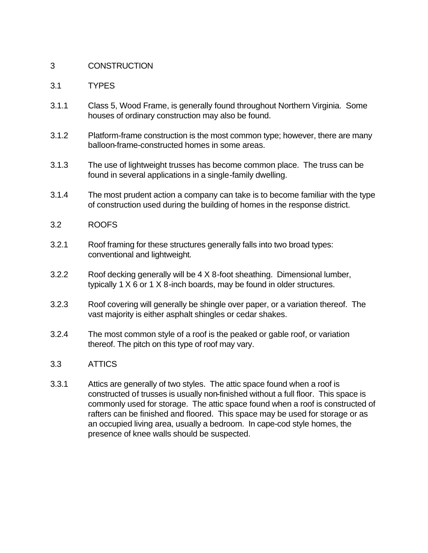#### 3 CONSTRUCTION

#### 3.1 TYPES

- 3.1.1 Class 5, Wood Frame, is generally found throughout Northern Virginia. Some houses of ordinary construction may also be found.
- 3.1.2 Platform-frame construction is the most common type; however, there are many balloon-frame-constructed homes in some areas.
- 3.1.3 The use of lightweight trusses has become common place. The truss can be found in several applications in a single-family dwelling.
- 3.1.4 The most prudent action a company can take is to become familiar with the type of construction used during the building of homes in the response district.
- 3.2 ROOFS
- 3.2.1 Roof framing for these structures generally falls into two broad types: conventional and lightweight.
- 3.2.2 Roof decking generally will be 4 X 8-foot sheathing. Dimensional lumber, typically 1 X 6 or 1 X 8-inch boards, may be found in older structures.
- 3.2.3 Roof covering will generally be shingle over paper, or a variation thereof. The vast majority is either asphalt shingles or cedar shakes.
- 3.2.4 The most common style of a roof is the peaked or gable roof, or variation thereof. The pitch on this type of roof may vary.
- 3.3 ATTICS
- 3.3.1 Attics are generally of two styles. The attic space found when a roof is constructed of trusses is usually non-finished without a full floor. This space is commonly used for storage. The attic space found when a roof is constructed of rafters can be finished and floored. This space may be used for storage or as an occupied living area, usually a bedroom.In cape-cod style homes, the presence of knee walls should be suspected.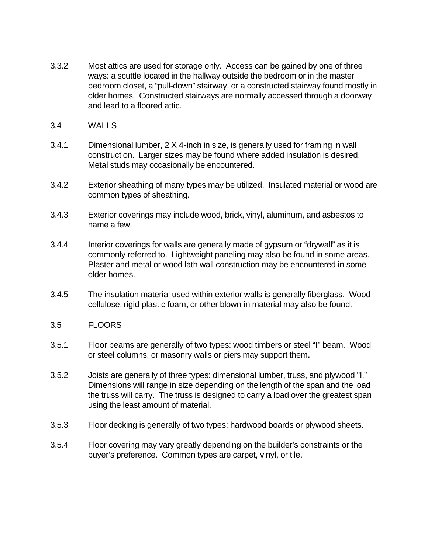- 3.3.2 Most attics are used for storage only. Access can be gained by one of three ways: a scuttle located in the hallway outside the bedroom or in the master bedroom closet, a "pull-down" stairway, or a constructed stairway found mostly in older homes. Constructed stairways are normally accessed through a doorway and lead to a floored attic.
- 3.4 WALLS
- 3.4.1 Dimensional lumber, 2 X 4-inch in size, is generally used for framing in wall construction. Larger sizes may be found where added insulation is desired. Metal studs may occasionally be encountered.
- 3.4.2 Exterior sheathing of many types may be utilized. Insulated material or wood are common types of sheathing.
- 3.4.3 Exterior coverings may include wood, brick, vinyl, aluminum, and asbestos to name a few.
- 3.4.4 Interior coverings for walls are generally made of gypsum or "drywall" as it is commonly referred to. Lightweight paneling may also be found in some areas. Plaster and metal or wood lath wall construction may be encountered in some older homes.
- 3.4.5 The insulation material used within exterior walls is generally fiberglass. Wood cellulose, rigid plastic foam**,** or other blown-in material may also be found.
- 3.5 FLOORS
- 3.5.1 Floor beams are generally of two types: wood timbers or steel "I" beam. Wood or steel columns, or masonry walls or piers may support them**.**
- 3.5.2 Joists are generally of three types: dimensional lumber, truss, and plywood "I." Dimensions will range in size depending on the length of the span and the load the truss will carry. The truss is designed to carry a load over the greatest span using the least amount of material.
- 3.5.3 Floor decking is generally of two types: hardwood boards or plywood sheets.
- 3.5.4 Floor covering may vary greatly depending on the builder's constraints or the buyer's preference. Common types are carpet, vinyl, or tile.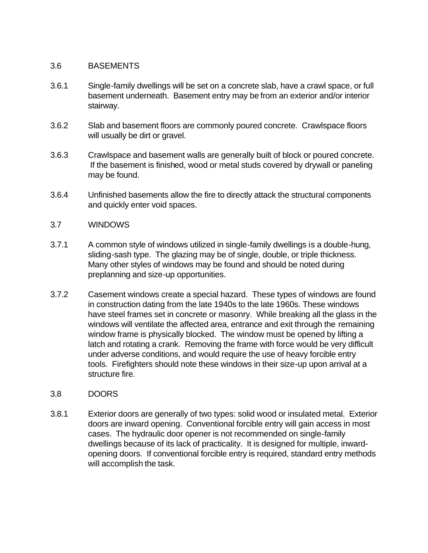#### 3.6 BASEMENTS

- 3.6.1 Single-family dwellings will be set on a concrete slab, have a crawl space, or full basement underneath. Basement entry may be from an exterior and/or interior stairway.
- 3.6.2 Slab and basement floors are commonly poured concrete. Crawlspace floors will usually be dirt or gravel.
- 3.6.3 Crawlspace and basement walls are generally built of block or poured concrete. If the basement is finished, wood or metal studs covered by drywall or paneling may be found.
- 3.6.4 Unfinished basements allow the fire to directly attack the structural components and quickly enter void spaces.

#### 3.7 WINDOWS

- 3.7.1 A common style of windows utilized in single-family dwellings is a double-hung, sliding-sash type. The glazing may be of single, double, or triple thickness. Many other styles of windows may be found and should be noted during preplanning and size-up opportunities.
- 3.7.2 Casement windows create a special hazard. These types of windows are found in construction dating from the late 1940s to the late 1960s. These windows have steel frames set in concrete or masonry. While breaking all the glass in the windows will ventilate the affected area, entrance and exit through the remaining window frame is physically blocked. The window must be opened by lifting a latch and rotating a crank. Removing the frame with force would be very difficult under adverse conditions, and would require the use of heavy forcible entry tools. Firefighters should note these windows in their size-up upon arrival at a structure fire.

#### 3.8 DOORS

3.8.1 Exterior doors are generally of two types: solid wood or insulated metal. Exterior doors are inward opening. Conventional forcible entry will gain access in most cases. The hydraulic door opener is not recommended on single-family dwellings because of its lack of practicality. It is designed for multiple, inwardopening doors. If conventional forcible entry is required, standard entry methods will accomplish the task.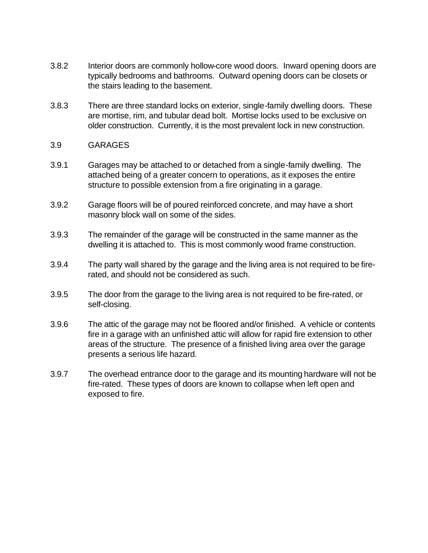- 3.8.2 Interior doors are commonly hollow-core wood doors. Inward opening doors are typically bedrooms and bathrooms. Outward opening doors can be closets or the stairs leading to the basement.
- 3.8.3 There are three standard locks on exterior, single-family dwelling doors. These are mortise, rim, and tubular dead bolt. Mortise locks used to be exclusive on older construction. Currently, it is the most prevalent lock in new construction.

#### 3.9 GARAGES

- 3.9.1 Garages may be attached to or detached from a single-family dwelling. The attached being of a greater concern to operations, as it exposes the entire structure to possible extension from a fire originating in a garage.
- 3.9.2 Garage floors will be of poured reinforced concrete, and may have a short masonry block wall on some of the sides.
- 3.9.3 The remainder of the garage will be constructed in the same manner as the dwelling it is attached to. This is most commonly wood frame construction.
- 3.9.4 The party wall shared by the garage and the living area is not required to be firerated, and should not be considered as such.
- 3.9.5 The door from the garage to the living area is not required to be fire-rated, or self-closing.
- 3.9.6 The attic of the garage may not be floored and/or finished. A vehicle or contents fire in a garage with an unfinished attic will allow for rapid fire extension to other areas of the structure. The presence of a finished living area over the garage presents a serious life hazard.
- 3.9.7 The overhead entrance door to the garage and its mounting hardware will not be fire-rated. These types of doors are known to collapse when left open and exposed to fire.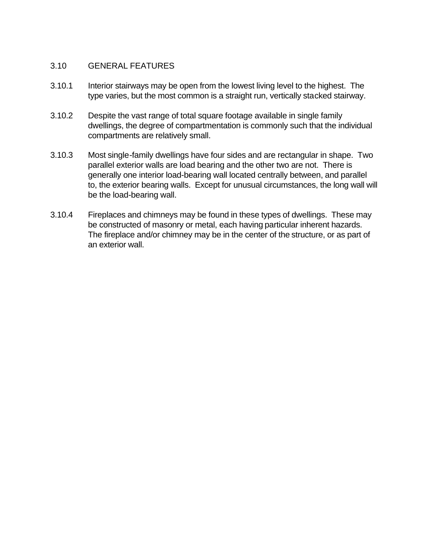### 3.10 GENERAL FEATURES

- 3.10.1 Interior stairways may be open from the lowest living level to the highest. The type varies, but the most common is a straight run, vertically stacked stairway.
- 3.10.2 Despite the vast range of total square footage available in single family dwellings, the degree of compartmentation is commonly such that the individual compartments are relatively small.
- 3.10.3 Most single-family dwellings have four sides and are rectangular in shape. Two parallel exterior walls are load bearing and the other two are not. There is generally one interior load-bearing wall located centrally between, and parallel to, the exterior bearing walls. Except for unusual circumstances, the long wall will be the load-bearing wall.
- 3.10.4 Fireplaces and chimneys may be found in these types of dwellings. These may be constructed of masonry or metal, each having particular inherent hazards. The fireplace and/or chimney may be in the center of the structure, or as part of an exterior wall.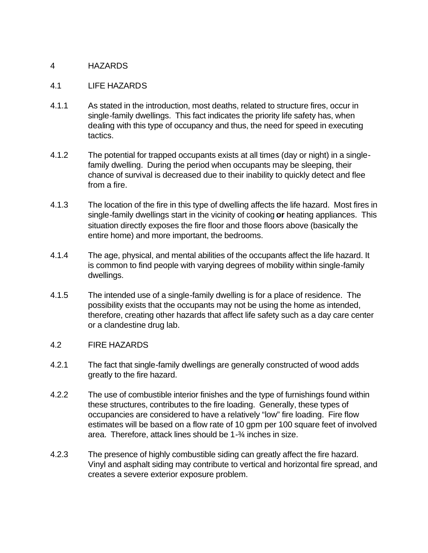#### 4 HAZARDS

#### 4.1 LIFE HAZARDS

- 4.1.1 As stated in the introduction, most deaths, related to structure fires, occur in single-family dwellings. This fact indicates the priority life safety has, when dealing with this type of occupancy and thus, the need for speed in executing tactics.
- 4.1.2 The potential for trapped occupants exists at all times (day or night) in a singlefamily dwelling. During the period when occupants may be sleeping, their chance of survival is decreased due to their inability to quickly detect and flee from a fire.
- 4.1.3 The location of the fire in this type of dwelling affects the life hazard. Most fires in single-family dwellings start in the vicinity of cooking **or** heating appliances. This situation directly exposes the fire floor and those floors above (basically the entire home) and more important, the bedrooms.
- 4.1.4 The age, physical, and mental abilities of the occupants affect the life hazard. It is common to find people with varying degrees of mobility within single-family dwellings.
- 4.1.5 The intended use of a single-family dwelling is for a place of residence. The possibility exists that the occupants may not be using the home as intended, therefore, creating other hazards that affect life safety such as a day care center or a clandestine drug lab.

#### 4.2 FIRE HAZARDS

- 4.2.1 The fact that single-family dwellings are generally constructed of wood adds greatly to the fire hazard.
- 4.2.2 The use of combustible interior finishes and the type of furnishings found within these structures, contributes to the fire loading. Generally, these types of occupancies are considered to have a relatively "low" fire loading. Fire flow estimates will be based on a flow rate of 10 gpm per 100 square feet of involved area. Therefore, attack lines should be 1-¾ inches in size.
- 4.2.3 The presence of highly combustible siding can greatly affect the fire hazard. Vinyl and asphalt siding may contribute to vertical and horizontal fire spread, and creates a severe exterior exposure problem.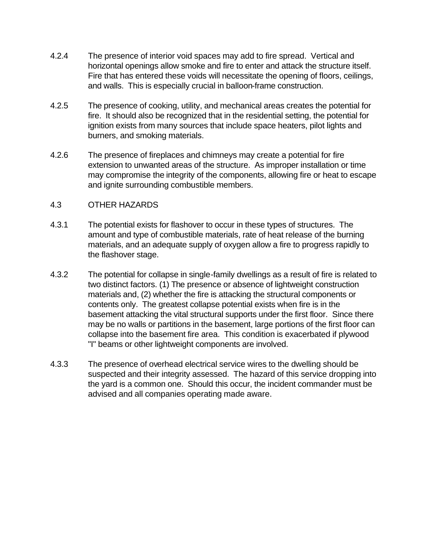- 4.2.4 The presence of interior void spaces may add to fire spread. Vertical and horizontal openings allow smoke and fire to enter and attack the structure itself. Fire that has entered these voids will necessitate the opening of floors, ceilings, and walls. This is especially crucial in balloon-frame construction.
- 4.2.5 The presence of cooking, utility, and mechanical areas creates the potential for fire. It should also be recognized that in the residential setting, the potential for ignition exists from many sources that include space heaters, pilot lights and burners, and smoking materials.
- 4.2.6 The presence of fireplaces and chimneys may create a potential for fire extension to unwanted areas of the structure. As improper installation or time may compromise the integrity of the components, allowing fire or heat to escape and ignite surrounding combustible members.

#### 4.3 OTHER HAZARDS

- 4.3.1 The potential exists for flashover to occur in these types of structures. The amount and type of combustible materials, rate of heat release of the burning materials, and an adequate supply of oxygen allow a fire to progress rapidly to the flashover stage.
- 4.3.2 The potential for collapse in single-family dwellings as a result of fire is related to two distinct factors. (1) The presence or absence of lightweight construction materials and, (2) whether the fire is attacking the structural components or contents only. The greatest collapse potential exists when fire is in the basement attacking the vital structural supports under the first floor. Since there may be no walls or partitions in the basement, large portions of the first floor can collapse into the basement fire area. This condition is exacerbated if plywood "I" beams or other lightweight components are involved.
- 4.3.3 The presence of overhead electrical service wires to the dwelling should be suspected and their integrity assessed. The hazard of this service dropping into the yard is a common one. Should this occur, the incident commander must be advised and all companies operating made aware.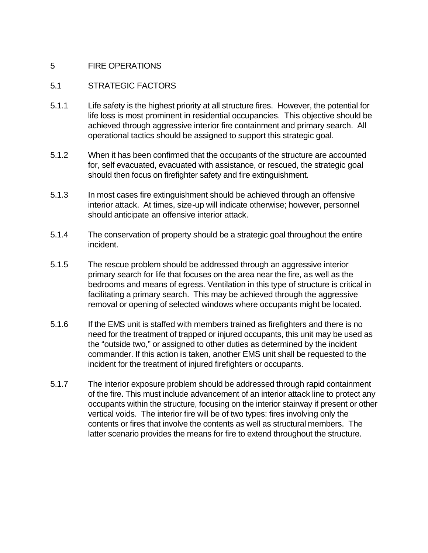#### 5 FIRE OPERATIONS

#### 5.1 STRATEGIC FACTORS

- 5.1.1 Life safety is the highest priority at all structure fires. However, the potential for life loss is most prominent in residential occupancies. This objective should be achieved through aggressive interior fire containment and primary search. All operational tactics should be assigned to support this strategic goal.
- 5.1.2 When it has been confirmed that the occupants of the structure are accounted for, self evacuated, evacuated with assistance, or rescued, the strategic goal should then focus on firefighter safety and fire extinguishment.
- 5.1.3 In most cases fire extinguishment should be achieved through an offensive interior attack. At times, size-up will indicate otherwise; however, personnel should anticipate an offensive interior attack.
- 5.1.4 The conservation of property should be a strategic goal throughout the entire incident.
- 5.1.5 The rescue problem should be addressed through an aggressive interior primary search for life that focuses on the area near the fire, as well as the bedrooms and means of egress. Ventilation in this type of structure is critical in facilitating a primary search. This may be achieved through the aggressive removal or opening of selected windows where occupants might be located.
- 5.1.6 If the EMS unit is staffed with members trained as firefighters and there is no need for the treatment of trapped or injured occupants, this unit may be used as the "outside two," or assigned to other duties as determined by the incident commander. If this action is taken, another EMS unit shall be requested to the incident for the treatment of injured firefighters or occupants.
- 5.1.7 The interior exposure problem should be addressed through rapid containment of the fire. This must include advancement of an interior attack line to protect any occupants within the structure, focusing on the interior stairway if present or other vertical voids. The interior fire will be of two types: fires involving only the contents or fires that involve the contents as well as structural members. The latter scenario provides the means for fire to extend throughout the structure.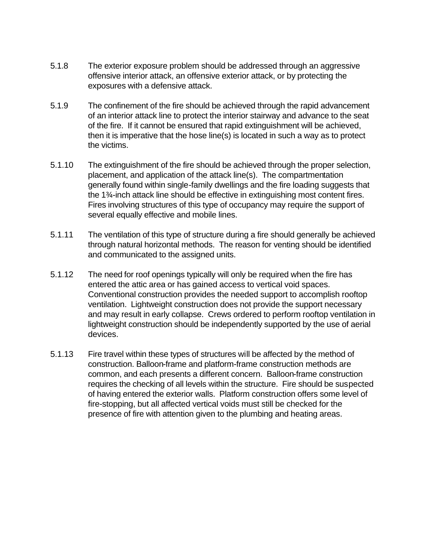- 5.1.8 The exterior exposure problem should be addressed through an aggressive offensive interior attack, an offensive exterior attack, or by protecting the exposures with a defensive attack.
- 5.1.9 The confinement of the fire should be achieved through the rapid advancement of an interior attack line to protect the interior stairway and advance to the seat of the fire. If it cannot be ensured that rapid extinguishment will be achieved, then it is imperative that the hose line(s) is located in such a way as to protect the victims.
- 5.1.10 The extinguishment of the fire should be achieved through the proper selection, placement, and application of the attack line(s). The compartmentation generally found within single-family dwellings and the fire loading suggests that the 1¾-inch attack line should be effective in extinguishing most content fires. Fires involving structures of this type of occupancy may require the support of several equally effective and mobile lines.
- 5.1.11 The ventilation of this type of structure during a fire should generally be achieved through natural horizontal methods. The reason for venting should be identified and communicated to the assigned units.
- 5.1.12 The need for roof openings typically will only be required when the fire has entered the attic area or has gained access to vertical void spaces. Conventional construction provides the needed support to accomplish rooftop ventilation. Lightweight construction does not provide the support necessary and may result in early collapse. Crews ordered to perform rooftop ventilation in lightweight construction should be independently supported by the use of aerial devices.
- 5.1.13 Fire travel within these types of structures will be affected by the method of construction. Balloon-frame and platform-frame construction methods are common, and each presents a different concern. Balloon-frame construction requires the checking of all levels within the structure. Fire should be suspected of having entered the exterior walls. Platform construction offers some level of fire-stopping, but all affected vertical voids must still be checked for the presence of fire with attention given to the plumbing and heating areas.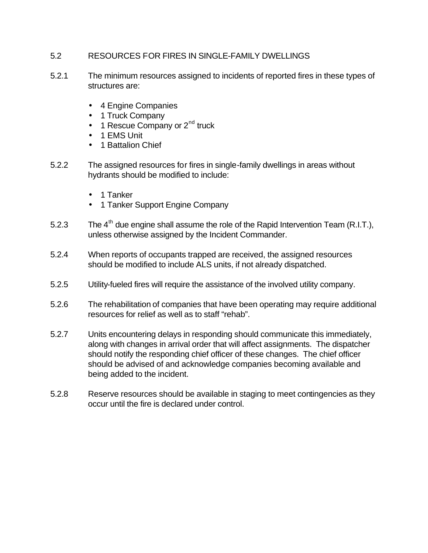#### 5.2 RESOURCES FOR FIRES IN SINGLE-FAMILY DWELLINGS

- 5.2.1 The minimum resources assigned to incidents of reported fires in these types of structures are:
	- 4 Engine Companies
	- 1 Truck Company
	- 1 Rescue Company or  $2<sup>nd</sup>$  truck
	- 1 EMS Unit
	- 1 Battalion Chief
- 5.2.2 The assigned resources for fires in single-family dwellings in areas without hydrants should be modified to include:
	- 1 Tanker
	- 1 Tanker Support Engine Company
- 5.2.3 The  $4<sup>th</sup>$  due engine shall assume the role of the Rapid Intervention Team (R.I.T.), unless otherwise assigned by the Incident Commander.
- 5.2.4 When reports of occupants trapped are received, the assigned resources should be modified to include ALS units, if not already dispatched.
- 5.2.5 Utility-fueled fires will require the assistance of the involved utility company.
- 5.2.6 The rehabilitation of companies that have been operating may require additional resources for relief as well as to staff "rehab".
- 5.2.7 Units encountering delays in responding should communicate this immediately, along with changes in arrival order that will affect assignments. The dispatcher should notify the responding chief officer of these changes. The chief officer should be advised of and acknowledge companies becoming available and being added to the incident.
- 5.2.8 Reserve resources should be available in staging to meet contingencies as they occur until the fire is declared under control.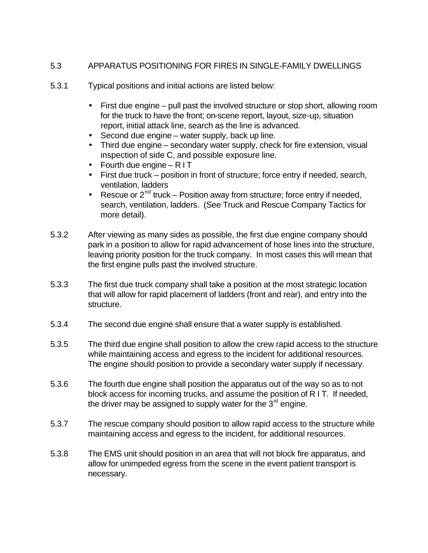## 5.3 APPARATUS POSITIONING FOR FIRES IN SINGLE-FAMILY DWELLINGS

- 5.3.1 Typical positions and initial actions are listed below:
	- First due engine pull past the involved structure or stop short, allowing room for the truck to have the front; on-scene report, layout, size-up, situation report, initial attack line, search as the line is advanced.
	- Second due engine water supply, back up line.
	- Third due engine secondary water supply, check for fire extension, visual inspection of side C, and possible exposure line.
	- Fourth due engine RIT
	- First due truck position in front of structure; force entry if needed, search, ventilation, ladders
	- Rescue or  $2^{nd}$  truck Position away from structure; force entry if needed, search, ventilation, ladders. (See Truck and Rescue Company Tactics for more detail).
- 5.3.2 After viewing as many sides as possible, the first due engine company should park in a position to allow for rapid advancement of hose lines into the structure, leaving priority position for the truck company. In most cases this will mean that the first engine pulls past the involved structure.
- 5.3.3 The first due truck company shall take a position at the most strategic location that will allow for rapid placement of ladders (front and rear), and entry into the structure.
- 5.3.4 The second due engine shall ensure that a water supply is established.
- 5.3.5 The third due engine shall position to allow the crew rapid access to the structure while maintaining access and egress to the incident for additional resources. The engine should position to provide a secondary water supply if necessary.
- 5.3.6 The fourth due engine shall position the apparatus out of the way so as to not block access for incoming trucks, and assume the position of R I T. If needed, the driver may be assigned to supply water for the  $3<sup>rd</sup>$  engine.
- 5.3.7 The rescue company should position to allow rapid access to the structure while maintaining access and egress to the incident, for additional resources.
- 5.3.8 The EMS unit should position in an area that will not block fire apparatus, and allow for unimpeded egress from the scene in the event patient transport is necessary.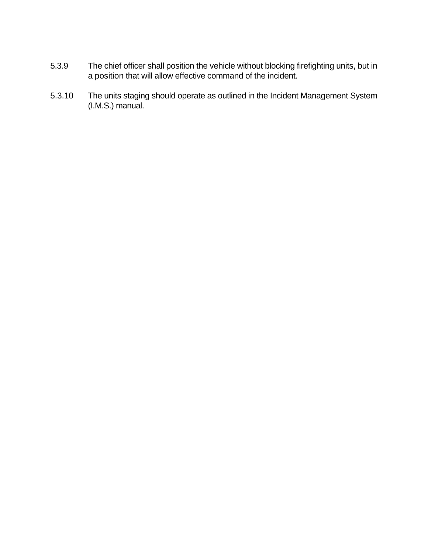- 5.3.9 The chief officer shall position the vehicle without blocking firefighting units, but in a position that will allow effective command of the incident.
- 5.3.10 The units staging should operate as outlined in the Incident Management System (I.M.S.) manual.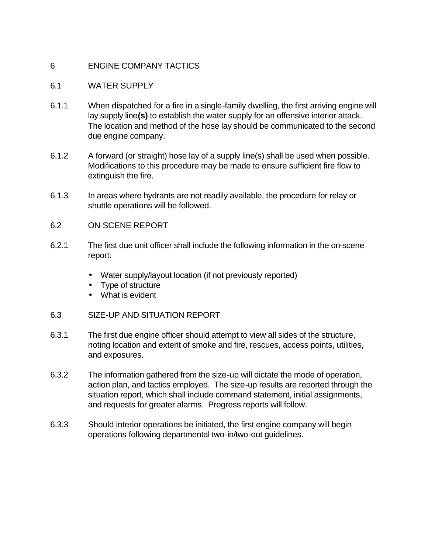## 6 ENGINE COMPANY TACTICS

#### 6.1 WATER SUPPLY

- 6.1.1 When dispatched for a fire in a single-family dwelling, the first arriving engine will lay supply line**(s)** to establish the water supply for an offensive interior attack. The location and method of the hose lay should be communicated to the second due engine company.
- 6.1.2 A forward (or straight) hose lay of a supply line(s) shall be used when possible. Modifications to this procedure may be made to ensure sufficient fire flow to extinguish the fire.
- 6.1.3 In areas where hydrants are not readily available, the procedure for relay or shuttle operations will be followed.
- 6.2 ON-SCENE REPORT
- 6.2.1 The first due unit officer shall include the following information in the on-scene report:
	- Water supply/layout location (if not previously reported)
	- Type of structure
	- What is evident
- 6.3 SIZE-UP AND SITUATION REPORT
- 6.3.1 The first due engine officer should attempt to view all sides of the structure, noting location and extent of smoke and fire, rescues, access points, utilities, and exposures.
- 6.3.2 The information gathered from the size-up will dictate the mode of operation, action plan, and tactics employed. The size-up results are reported through the situation report, which shall include command statement, initial assignments, and requests for greater alarms. Progress reports will follow.
- 6.3.3 Should interior operations be initiated, the first engine company will begin operations following departmental two-in/two-out guidelines.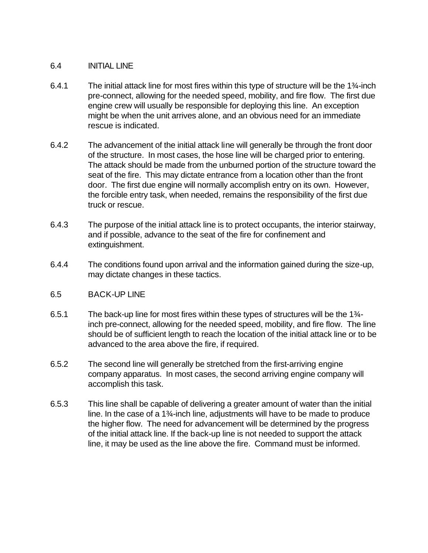#### 6.4 INITIAL LINE

- 6.4.1 The initial attack line for most fires within this type of structure will be the 1¾-inch pre-connect, allowing for the needed speed, mobility, and fire flow. The first due engine crew will usually be responsible for deploying this line. An exception might be when the unit arrives alone, and an obvious need for an immediate rescue is indicated.
- 6.4.2 The advancement of the initial attack line will generally be through the front door of the structure. In most cases, the hose line will be charged prior to entering. The attack should be made from the unburned portion of the structure toward the seat of the fire. This may dictate entrance from a location other than the front door. The first due engine will normally accomplish entry on its own. However, the forcible entry task, when needed, remains the responsibility of the first due truck or rescue.
- 6.4.3 The purpose of the initial attack line is to protect occupants, the interior stairway, and if possible, advance to the seat of the fire for confinement and extinguishment.
- 6.4.4 The conditions found upon arrival and the information gained during the size-up, may dictate changes in these tactics.

#### 6.5 BACK-UP LINE

- 6.5.1 The back-up line for most fires within these types of structures will be the  $1\frac{3}{4}$ inch pre-connect, allowing for the needed speed, mobility, and fire flow. The line should be of sufficient length to reach the location of the initial attack line or to be advanced to the area above the fire, if required.
- 6.5.2 The second line will generally be stretched from the first-arriving engine company apparatus. In most cases, the second arriving engine company will accomplish this task.
- 6.5.3 This line shall be capable of delivering a greater amount of water than the initial line. In the case of a 1¾-inch line, adjustments will have to be made to produce the higher flow. The need for advancement will be determined by the progress of the initial attack line. If the back-up line is not needed to support the attack line, it may be used as the line above the fire. Command must be informed.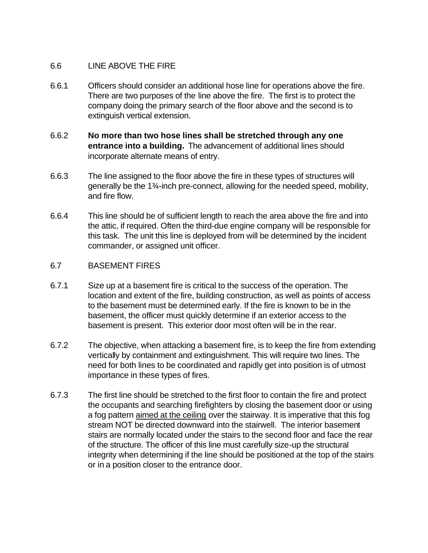#### 6.6 LINE ABOVE THE FIRE

- 6.6.1 Officers should consider an additional hose line for operations above the fire. There are two purposes of the line above the fire. The first is to protect the company doing the primary search of the floor above and the second is to extinguish vertical extension.
- 6.6.2 **No more than two hose lines shall be stretched through any one entrance into a building.** The advancement of additional lines should incorporate alternate means of entry.
- 6.6.3 The line assigned to the floor above the fire in these types of structures will generally be the 1¾-inch pre-connect, allowing for the needed speed, mobility, and fire flow.
- 6.6.4 This line should be of sufficient length to reach the area above the fire and into the attic, if required. Often the third-due engine company will be responsible for this task. The unit this line is deployed from will be determined by the incident commander, or assigned unit officer.

## 6.7 BASEMENT FIRES

- 6.7.1 Size up at a basement fire is critical to the success of the operation. The location and extent of the fire, building construction, as well as points of access to the basement must be determined early. If the fire is known to be in the basement, the officer must quickly determine if an exterior access to the basement is present. This exterior door most often will be in the rear.
- 6.7.2 The objective, when attacking a basement fire, is to keep the fire from extending vertically by containment and extinguishment. This will require two lines. The need for both lines to be coordinated and rapidly get into position is of utmost importance in these types of fires.
- 6.7.3 The first line should be stretched to the first floor to contain the fire and protect the occupants and searching firefighters by closing the basement door or using a fog pattern aimed at the ceiling over the stairway. It is imperative that this fog stream NOT be directed downward into the stairwell. The interior basement stairs are normally located under the stairs to the second floor and face the rear of the structure. The officer of this line must carefully size-up the structural integrity when determining if the line should be positioned at the top of the stairs or in a position closer to the entrance door.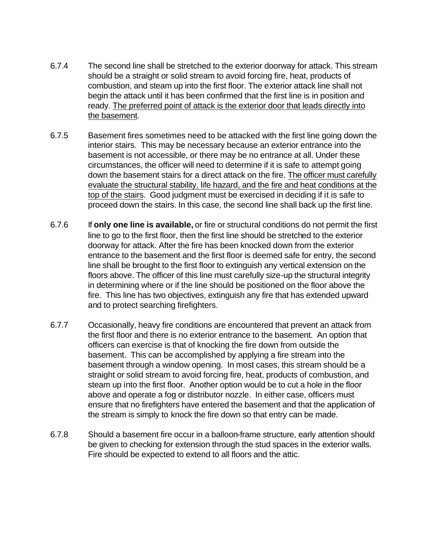- 6.7.4 The second line shall be stretched to the exterior doorway for attack. This stream should be a straight or solid stream to avoid forcing fire, heat, products of combustion, and steam up into the first floor. The exterior attack line shall not begin the attack until it has been confirmed that the first line is in position and ready. The preferred point of attack is the exterior door that leads directly into the basement.
- 6.7.5 Basement fires sometimes need to be attacked with the first line going down the interior stairs. This may be necessary because an exterior entrance into the basement is not accessible, or there may be no entrance at all. Under these circumstances, the officer will need to determine if it is safe to attempt going down the basement stairs for a direct attack on the fire. The officer must carefully evaluate the structural stability, life hazard, and the fire and heat conditions at the top of the stairs. Good judgment must be exercised in deciding if it is safe to proceed down the stairs. In this case, the second line shall back up the first line.
- 6.7.6 If **only one line is available,** or fire or structural conditions do not permit the first line to go to the first floor, then the first line should be stretched to the exterior doorway for attack. After the fire has been knocked down from the exterior entrance to the basement and the first floor is deemed safe for entry, the second line shall be brought to the first floor to extinguish any vertical extension on the floors above. The officer of this line must carefully size-up the structural integrity in determining where or if the line should be positioned on the floor above the fire. This line has two objectives, extinguish any fire that has extended upward and to protect searching firefighters.
- 6.7.7 Occasionally, heavy fire conditions are encountered that prevent an attack from the first floor and there is no exterior entrance to the basement. An option that officers can exercise is that of knocking the fire down from outside the basement. This can be accomplished by applying a fire stream into the basement through a window opening. In most cases, this stream should be a straight or solid stream to avoid forcing fire, heat, products of combustion, and steam up into the first floor. Another option would be to cut a hole in the floor above and operate a fog or distributor nozzle. In either case, officers must ensure that no firefighters have entered the basement and that the application of the stream is simply to knock the fire down so that entry can be made.
- 6.7.8 Should a basement fire occur in a balloon-frame structure, early attention should be given to checking for extension through the stud spaces in the exterior walls. Fire should be expected to extend to all floors and the attic.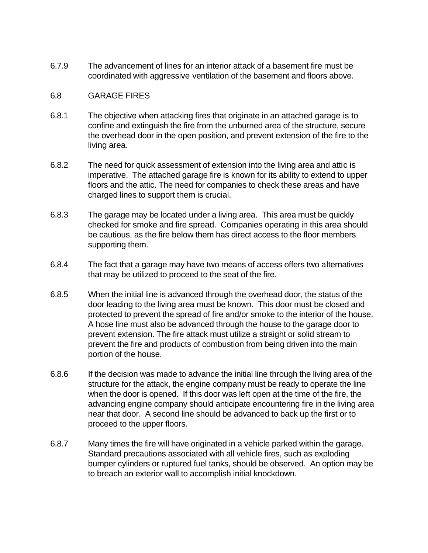6.7.9 The advancement of lines for an interior attack of a basement fire must be coordinated with aggressive ventilation of the basement and floors above.

#### 6.8 GARAGE FIRES

- 6.8.1 The objective when attacking fires that originate in an attached garage is to confine and extinguish the fire from the unburned area of the structure, secure the overhead door in the open position, and prevent extension of the fire to the living area.
- 6.8.2 The need for quick assessment of extension into the living area and attic is imperative. The attached garage fire is known for its ability to extend to upper floors and the attic. The need for companies to check these areas and have charged lines to support them is crucial.
- 6.8.3 The garage may be located under a living area. This area must be quickly checked for smoke and fire spread. Companies operating in this area should be cautious, as the fire below them has direct access to the floor members supporting them.
- 6.8.4 The fact that a garage may have two means of access offers two alternatives that may be utilized to proceed to the seat of the fire.
- 6.8.5 When the initial line is advanced through the overhead door, the status of the door leading to the living area must be known. This door must be closed and protected to prevent the spread of fire and/or smoke to the interior of the house. A hose line must also be advanced through the house to the garage door to prevent extension. The fire attack must utilize a straight or solid stream to prevent the fire and products of combustion from being driven into the main portion of the house.
- 6.8.6 If the decision was made to advance the initial line through the living area of the structure for the attack, the engine company must be ready to operate the line when the door is opened. If this door was left open at the time of the fire, the advancing engine company should anticipate encountering fire in the living area near that door. A second line should be advanced to back up the first or to proceed to the upper floors.
- 6.8.7 Many times the fire will have originated in a vehicle parked within the garage. Standard precautions associated with all vehicle fires, such as exploding bumper cylinders or ruptured fuel tanks, should be observed. An option may be to breach an exterior wall to accomplish initial knockdown.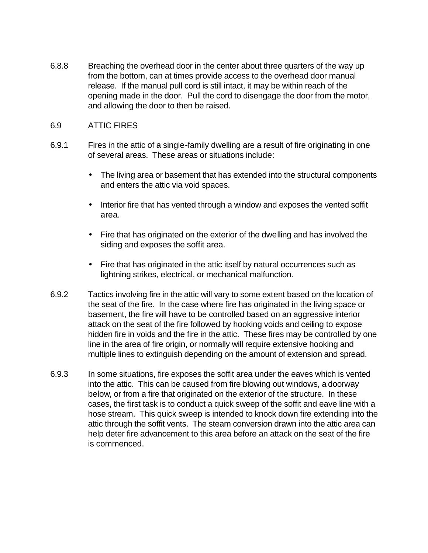6.8.8 Breaching the overhead door in the center about three quarters of the way up from the bottom, can at times provide access to the overhead door manual release. If the manual pull cord is still intact, it may be within reach of the opening made in the door. Pull the cord to disengage the door from the motor, and allowing the door to then be raised.

#### 6.9 ATTIC FIRES

- 6.9.1 Fires in the attic of a single-family dwelling are a result of fire originating in one of several areas. These areas or situations include:
	- The living area or basement that has extended into the structural components and enters the attic via void spaces.
	- Interior fire that has vented through a window and exposes the vented soffit area.
	- Fire that has originated on the exterior of the dwelling and has involved the siding and exposes the soffit area.
	- Fire that has originated in the attic itself by natural occurrences such as lightning strikes, electrical, or mechanical malfunction.
- 6.9.2 Tactics involving fire in the attic will vary to some extent based on the location of the seat of the fire. In the case where fire has originated in the living space or basement, the fire will have to be controlled based on an aggressive interior attack on the seat of the fire followed by hooking voids and ceiling to expose hidden fire in voids and the fire in the attic. These fires may be controlled by one line in the area of fire origin, or normally will require extensive hooking and multiple lines to extinguish depending on the amount of extension and spread.
- 6.9.3 In some situations, fire exposes the soffit area under the eaves which is vented into the attic. This can be caused from fire blowing out windows, a doorway below, or from a fire that originated on the exterior of the structure. In these cases, the first task is to conduct a quick sweep of the soffit and eave line with a hose stream. This quick sweep is intended to knock down fire extending into the attic through the soffit vents. The steam conversion drawn into the attic area can help deter fire advancement to this area before an attack on the seat of the fire is commenced.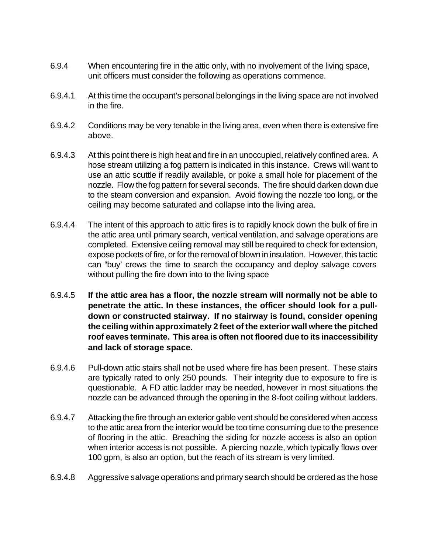- 6.9.4 When encountering fire in the attic only, with no involvement of the living space, unit officers must consider the following as operations commence.
- 6.9.4.1 At this time the occupant's personal belongings in the living space are not involved in the fire.
- 6.9.4.2 Conditions may be very tenable in the living area, even when there is extensive fire above.
- 6.9.4.3 At this point there is high heat and fire in an unoccupied, relatively confined area. A hose stream utilizing a fog pattern is indicated in this instance. Crews will want to use an attic scuttle if readily available, or poke a small hole for placement of the nozzle. Flow the fog pattern for several seconds. The fire should darken down due to the steam conversion and expansion. Avoid flowing the nozzle too long, or the ceiling may become saturated and collapse into the living area.
- 6.9.4.4 The intent of this approach to attic fires is to rapidly knock down the bulk of fire in the attic area until primary search, vertical ventilation, and salvage operations are completed. Extensive ceiling removal may still be required to check for extension, expose pockets of fire, or for the removal of blown in insulation. However, this tactic can "buy' crews the time to search the occupancy and deploy salvage covers without pulling the fire down into to the living space
- 6.9.4.5 **If the attic area has a floor, the nozzle stream will normally not be able to penetrate the attic. In these instances, the officer should look for a pulldown or constructed stairway. If no stairway is found, consider opening the ceiling within approximately 2 feet of the exterior wall where the pitched roof eaves terminate. This area is often not floored due to its inaccessibility and lack of storage space.**
- 6.9.4.6 Pull-down attic stairs shall not be used where fire has been present. These stairs are typically rated to only 250 pounds. Their integrity due to exposure to fire is questionable. A FD attic ladder may be needed, however in most situations the nozzle can be advanced through the opening in the 8-foot ceiling without ladders.
- 6.9.4.7 Attacking the fire through an exterior gable vent should be considered when access to the attic area from the interior would be too time consuming due to the presence of flooring in the attic. Breaching the siding for nozzle access is also an option when interior access is not possible. A piercing nozzle, which typically flows over 100 gpm, is also an option, but the reach of its stream is very limited.
- 6.9.4.8 Aggressive salvage operations and primary search should be ordered as the hose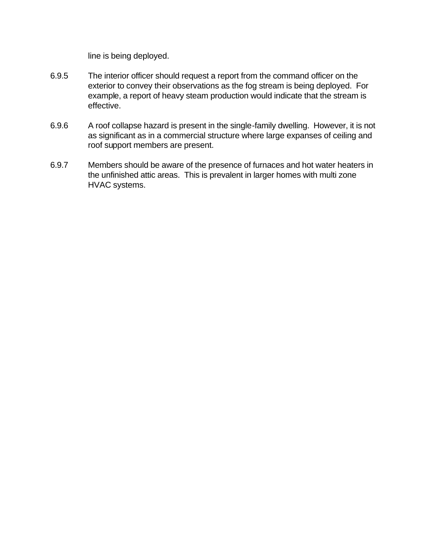line is being deployed.

- 6.9.5 The interior officer should request a report from the command officer on the exterior to convey their observations as the fog stream is being deployed. For example, a report of heavy steam production would indicate that the stream is effective.
- 6.9.6 A roof collapse hazard is present in the single-family dwelling. However, it is not as significant as in a commercial structure where large expanses of ceiling and roof support members are present.
- 6.9.7 Members should be aware of the presence of furnaces and hot water heaters in the unfinished attic areas. This is prevalent in larger homes with multi zone HVAC systems.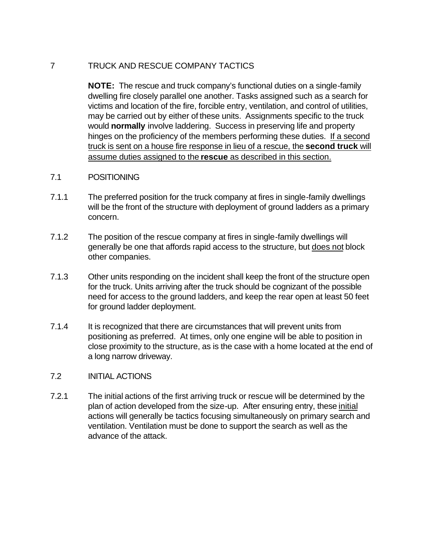## 7 TRUCK AND RESCUE COMPANY TACTICS

**NOTE:** The rescue and truck company's functional duties on a single-family dwelling fire closely parallel one another. Tasks assigned such as a search for victims and location of the fire, forcible entry, ventilation, and control of utilities, may be carried out by either of these units. Assignments specific to the truck would **normally** involve laddering. Success in preserving life and property hinges on the proficiency of the members performing these duties. If a second truck is sent on a house fire response in lieu of a rescue, the **second truck** will assume duties assigned to the **rescue** as described in this section.

- 7.1 POSITIONING
- 7.1.1 The preferred position for the truck company at fires in single-family dwellings will be the front of the structure with deployment of ground ladders as a primary concern.
- 7.1.2 The position of the rescue company at fires in single-family dwellings will generally be one that affords rapid access to the structure, but does not block other companies.
- 7.1.3 Other units responding on the incident shall keep the front of the structure open for the truck. Units arriving after the truck should be cognizant of the possible need for access to the ground ladders, and keep the rear open at least 50 feet for ground ladder deployment.
- 7.1.4 It is recognized that there are circumstances that will prevent units from positioning as preferred. At times, only one engine will be able to position in close proximity to the structure, as is the case with a home located at the end of a long narrow driveway.

#### 7.2 INITIAL ACTIONS

7.2.1 The initial actions of the first arriving truck or rescue will be determined by the plan of action developed from the size-up. After ensuring entry, these initial actions will generally be tactics focusing simultaneously on primary search and ventilation. Ventilation must be done to support the search as well as the advance of the attack.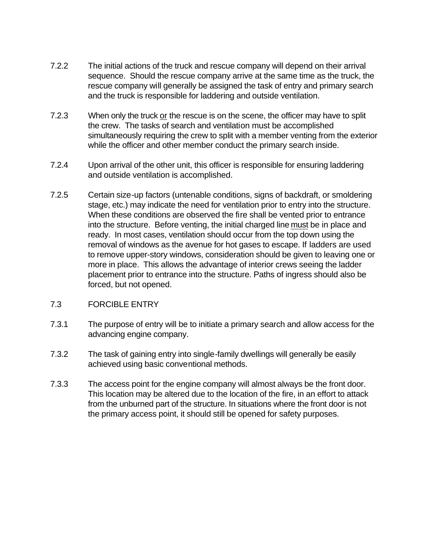- 7.2.2 The initial actions of the truck and rescue company will depend on their arrival sequence. Should the rescue company arrive at the same time as the truck, the rescue company will generally be assigned the task of entry and primary search and the truck is responsible for laddering and outside ventilation.
- 7.2.3 When only the truck or the rescue is on the scene, the officer may have to split the crew. The tasks of search and ventilation must be accomplished simultaneously requiring the crew to split with a member venting from the exterior while the officer and other member conduct the primary search inside.
- 7.2.4 Upon arrival of the other unit, this officer is responsible for ensuring laddering and outside ventilation is accomplished.
- 7.2.5 Certain size-up factors (untenable conditions, signs of backdraft, or smoldering stage, etc.) may indicate the need for ventilation prior to entry into the structure. When these conditions are observed the fire shall be vented prior to entrance into the structure. Before venting, the initial charged line must be in place and ready. In most cases, ventilation should occur from the top down using the removal of windows as the avenue for hot gases to escape. If ladders are used to remove upper-story windows, consideration should be given to leaving one or more in place. This allows the advantage of interior crews seeing the ladder placement prior to entrance into the structure. Paths of ingress should also be forced, but not opened.
- 7.3 FORCIBLE ENTRY
- 7.3.1 The purpose of entry will be to initiate a primary search and allow access for the advancing engine company.
- 7.3.2 The task of gaining entry into single-family dwellings will generally be easily achieved using basic conventional methods.
- 7.3.3 The access point for the engine company will almost always be the front door. This location may be altered due to the location of the fire, in an effort to attack from the unburned part of the structure. In situations where the front door is not the primary access point, it should still be opened for safety purposes.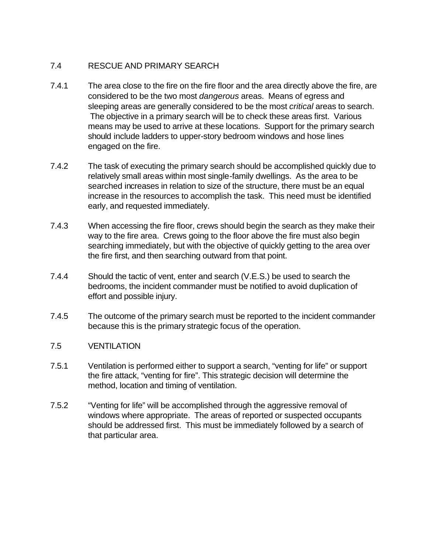# 7.4 RESCUE AND PRIMARY SEARCH

- 7.4.1 The area close to the fire on the fire floor and the area directly above the fire, are considered to be the two most *dangerous* areas. Means of egress and sleeping areas are generally considered to be the most *critical* areas to search. The objective in a primary search will be to check these areas first. Various means may be used to arrive at these locations. Support for the primary search should include ladders to upper-story bedroom windows and hose lines engaged on the fire.
- 7.4.2 The task of executing the primary search should be accomplished quickly due to relatively small areas within most single-family dwellings. As the area to be searched increases in relation to size of the structure, there must be an equal increase in the resources to accomplish the task. This need must be identified early, and requested immediately.
- 7.4.3 When accessing the fire floor, crews should begin the search as they make their way to the fire area. Crews going to the floor above the fire must also begin searching immediately, but with the objective of quickly getting to the area over the fire first, and then searching outward from that point.
- 7.4.4 Should the tactic of vent, enter and search (V.E.S.) be used to search the bedrooms, the incident commander must be notified to avoid duplication of effort and possible injury.
- 7.4.5 The outcome of the primary search must be reported to the incident commander because this is the primary strategic focus of the operation.
- 7.5 VENTILATION
- 7.5.1 Ventilation is performed either to support a search, "venting for life" or support the fire attack, "venting for fire". This strategic decision will determine the method, location and timing of ventilation.
- 7.5.2 "Venting for life" will be accomplished through the aggressive removal of windows where appropriate. The areas of reported or suspected occupants should be addressed first. This must be immediately followed by a search of that particular area.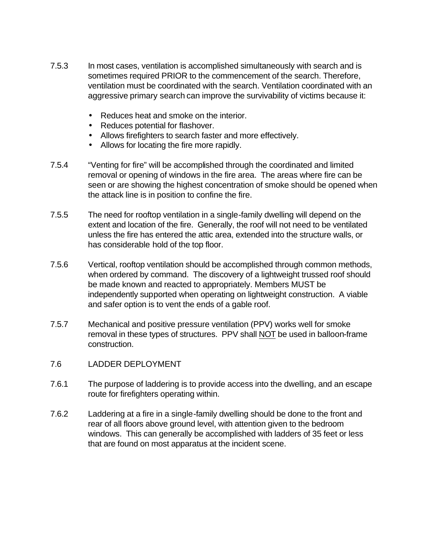- 7.5.3 In most cases, ventilation is accomplished simultaneously with search and is sometimes required PRIOR to the commencement of the search. Therefore, ventilation must be coordinated with the search. Ventilation coordinated with an aggressive primary search can improve the survivability of victims because it:
	- Reduces heat and smoke on the interior.
	- Reduces potential for flashover.
	- Allows firefighters to search faster and more effectively.
	- Allows for locating the fire more rapidly.
- 7.5.4 "Venting for fire" will be accomplished through the coordinated and limited removal or opening of windows in the fire area. The areas where fire can be seen or are showing the highest concentration of smoke should be opened when the attack line is in position to confine the fire.
- 7.5.5 The need for rooftop ventilation in a single-family dwelling will depend on the extent and location of the fire. Generally, the roof will not need to be ventilated unless the fire has entered the attic area, extended into the structure walls, or has considerable hold of the top floor.
- 7.5.6 Vertical, rooftop ventilation should be accomplished through common methods, when ordered by command. The discovery of a lightweight trussed roof should be made known and reacted to appropriately. Members MUST be independently supported when operating on lightweight construction. A viable and safer option is to vent the ends of a gable roof.
- 7.5.7 Mechanical and positive pressure ventilation (PPV) works well for smoke removal in these types of structures. PPV shall NOT be used in balloon-frame construction.
- 7.6 LADDER DEPLOYMENT
- 7.6.1 The purpose of laddering is to provide access into the dwelling, and an escape route for firefighters operating within.
- 7.6.2 Laddering at a fire in a single-family dwelling should be done to the front and rear of all floors above ground level, with attention given to the bedroom windows. This can generally be accomplished with ladders of 35 feet or less that are found on most apparatus at the incident scene.